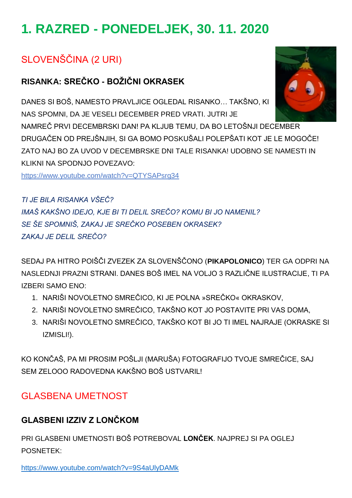# **1. RAZRED - PONEDELJEK, 30. 11. 2020**

# SLOVENŠČINA (2 URI)

### **RISANKA: SREČKO - BOŽIČNI OKRASEK**

DANES SI BOŠ, NAMESTO PRAVLJICE OGLEDAL RISANKO… TAKŠNO, KI NAS SPOMNI, DA JE VESELI DECEMBER PRED VRATI. JUTRI JE

NAMREČ PRVI DECEMBRSKI DAN! PA KLJUB TEMU, DA BO LETOŠNJI DECEMBER DRUGAČEN OD PREJŠNJIH, SI GA BOMO POSKUŠALI POLEPŠATI KOT JE LE MOGOČE! ZATO NAJ BO ZA UVOD V DECEMBRSKE DNI TALE RISANKA! UDOBNO SE NAMESTI IN KLIKNI NA SPODNJO POVEZAVO:

<https://www.youtube.com/watch?v=QTYSAPsrg34>

*TI JE BILA RISANKA VŠEČ? IMAŠ KAKŠNO IDEJO, KJE BI TI DELIL SREČO? KOMU BI JO NAMENIL? SE ŠE SPOMNIŠ, ZAKAJ JE SREČKO POSEBEN OKRASEK? ZAKAJ JE DELIL SREČO?*

SEDAJ PA HITRO POIŠČI ZVEZEK ZA SLOVENŠČONO (**PIKAPOLONICO**) TER GA ODPRI NA NASLEDNJI PRAZNI STRANI. DANES BOŠ IMEL NA VOLJO 3 RAZLIČNE ILUSTRACIJE, TI PA IZBERI SAMO ENO:

- 1. NARIŠI NOVOLETNO SMREČICO, KI JE POLNA »SREČKO« OKRASKOV,
- 2. NARIŠI NOVOLETNO SMREČICO, TAKŠNO KOT JO POSTAVITE PRI VAS DOMA,
- 3. NARIŠI NOVOLETNO SMREČICO, TAKŠKO KOT BI JO TI IMEL NAJRAJE (OKRASKE SI IZMISLI!).

KO KONČAŠ, PA MI PROSIM POŠLJI (MARUŠA) FOTOGRAFIJO TVOJE SMREČICE, SAJ SEM ZELOOO RADOVEDNA KAKŠNO BOŠ USTVARIL!

## GLASBENA UMETNOST

#### **GLASBENI IZZIV Z LONČKOM**

PRI GLASBENI UMETNOSTI BOŠ POTREBOVAL **LONČEK**. NAJPREJ SI PA OGLEJ POSNETEK:

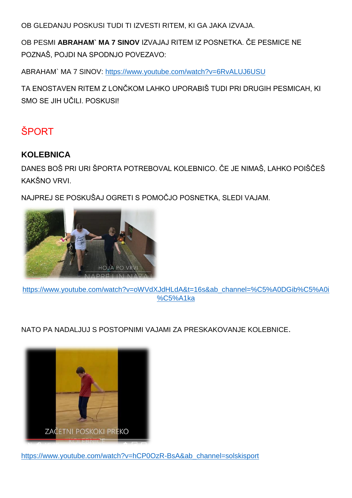OB GLEDANJU POSKUSI TUDI TI IZVESTI RITEM, KI GA JAKA IZVAJA.

OB PESMI **ABRAHAM` MA 7 SINOV** IZVAJAJ RITEM IZ POSNETKA. ČE PESMICE NE POZNAŠ, POJDI NA SPODNJO POVEZAVO:

ABRAHAM` MA 7 SINOV:<https://www.youtube.com/watch?v=6RvALUJ6USU>

TA ENOSTAVEN RITEM Z LONČKOM LAHKO UPORABIŠ TUDI PRI DRUGIH PESMICAH, KI SMO SE JIH UČILI. POSKUSI!

# **ŠPORT**

#### **KOLEBNICA**

DANES BOŠ PRI URI ŠPORTA POTREBOVAL KOLEBNICO. ČE JE NIMAŠ, LAHKO POIŠČEŠ KAKŠNO VRVI.

NAJPREJ SE POSKUŠAJ OGRETI S POMOČJO POSNETKA, SLEDI VAJAM.



[https://www.youtube.com/watch?v=oWVdXJdHLdA&t=16s&ab\\_channel=%C5%A0DGib%C5%A0i](https://www.youtube.com/watch?v=oWVdXJdHLdA&t=16s&ab_channel=%C5%A0DGib%C5%A0i%C5%A1ka) [%C5%A1ka](https://www.youtube.com/watch?v=oWVdXJdHLdA&t=16s&ab_channel=%C5%A0DGib%C5%A0i%C5%A1ka)

NATO PA NADALJUJ S POSTOPNIMI VAJAMI ZA PRESKAKOVANJE KOLEBNICE.



[https://www.youtube.com/watch?v=hCP0OzR-BsA&ab\\_channel=solskisport](https://www.youtube.com/watch?v=hCP0OzR-BsA&ab_channel=solskisport)